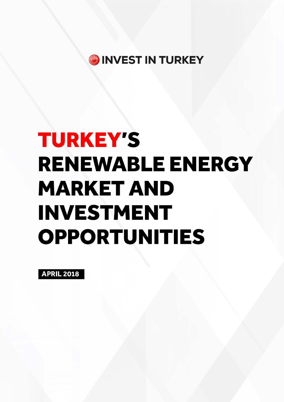

# **TURKEY'S RENEWABLE ENERGY MARKET AND INVESTMENT OPPORTUNITIES**

**APRIL 2018**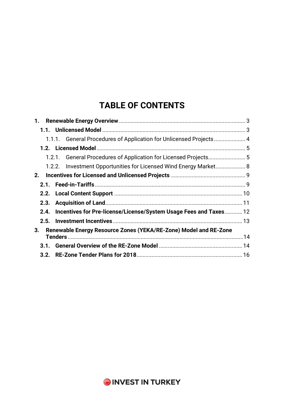# **TABLE OF CONTENTS**

|      | 1.1.1. General Procedures of Application for Unlicensed Projects 4     |  |
|------|------------------------------------------------------------------------|--|
|      |                                                                        |  |
|      |                                                                        |  |
|      | 1.2.2. Investment Opportunities for Licensed Wind Energy Market 8      |  |
| 2.   |                                                                        |  |
|      |                                                                        |  |
|      |                                                                        |  |
|      |                                                                        |  |
|      | 2.4. Incentives for Pre-license/License/System Usage Fees and Taxes 12 |  |
|      |                                                                        |  |
| 3.   | Renewable Energy Resource Zones (YEKA/RE-Zone) Model and RE-Zone       |  |
| 3.1. |                                                                        |  |
|      |                                                                        |  |

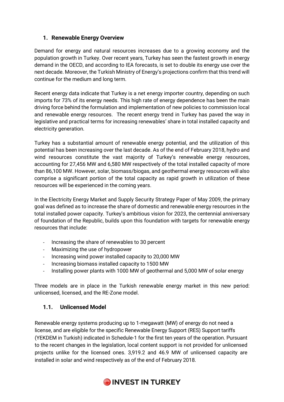# **1. Renewable Energy Overview**

Demand for energy and natural resources increases due to a growing economy and the population growth in Turkey. Over recent years, Turkey has seen the fastest growth in energy demand in the OECD, and according to IEA forecasts, is set to double its energy use over the next decade. Moreover, the Turkish Ministry of Energy's projections confirm that this trend will continue for the medium and long term.

Recent energy data indicate that Turkey is a net energy importer country, depending on such imports for 73% of its energy needs. This high rate of energy dependence has been the main driving force behind the formulation and implementation of new policies to commission local and renewable energy resources. The recent energy trend in Turkey has paved the way in legislative and practical terms for increasing renewables' share in total installed capacity and electricity generation.

Turkey has a substantial amount of renewable energy potential, and the utilization of this potential has been increasing over the last decade. As of the end of February 2018, hydro and wind resources constitute the vast majority of Turkey's renewable energy resources, accounting for 27,456 MW and 6,580 MW respectively of the total installed capacity of more than 86,100 MW. However, solar, biomass/biogas, and geothermal energy resources will also comprise a significant portion of the total capacity as rapid growth in utilization of these resources will be experienced in the coming years.

In the Electricity Energy Market and Supply Security Strategy Paper of May 2009, the primary goal was defined as to increase the share of domestic and renewable energy resources in the total installed power capacity. Turkey's ambitious vision for 2023, the centennial anniversary of foundation of the Republic, builds upon this foundation with targets for renewable energy resources that include:

- Increasing the share of renewables to 30 percent
- Maximizing the use of hydropower
- Increasing wind power installed capacity to 20,000 MW
- Increasing biomass installed capacity to 1500 MW
- Installing power plants with 1000 MW of geothermal and 5,000 MW of solar energy

Three models are in place in the Turkish renewable energy market in this new period: unlicensed, licensed, and the RE-Zone model.

# **1.1. Unlicensed Model**

Renewable energy systems producing up to 1-megawatt (MW) of energy do not need a license, and are eligible for the specific Renewable Energy Support (RES) Support tariffs (YEKDEM in Turkish) indicated in Schedule-1 for the first ten years of the operation. Pursuant to the recent changes in the legislation, local content support is not provided for unlicensed projects unlike for the licensed ones. 3,919.2 and 46.9 MW of unlicensed capacity are installed in solar and wind respectively as of the end of February 2018.

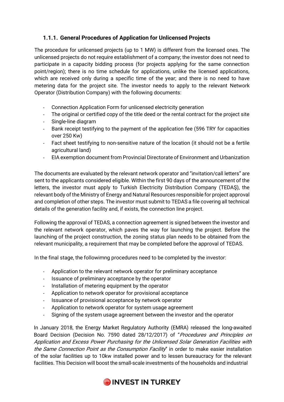# **1.1.1. General Procedures of Application for Unlicensed Projects**

The procedure for unlicensed projects (up to 1 MW) is different from the licensed ones. The unlicensed projects do not require establishment of a company; the investor does not need to participate in a capacity bidding process (for projects applying for the same connection point/region); there is no time schedule for applications, unlike the licensed applications, which are received only during a specific time of the year; and there is no need to have metering data for the project site. The investor needs to apply to the relevant Network Operator (Distribution Company) with the following documents:

- Connection Application Form for unlicensed electricity generation
- The original or certified copy of the title deed or the rental contract for the project site
- Single-line diagram
- Bank receipt testifying to the payment of the application fee (596 TRY for capacities over 250 Kw)
- Fact sheet testifying to non-sensitive nature of the location (it should not be a fertile agricultural land)
- EIA exemption document from Provincial Directorate of Environment and Urbanization

The documents are evaluated by the relevant network operator and "invitation/call letters" are sent to the applicants considered eligible. Within the first 90 days of the announcement of the letters, the investor must apply to Turkish Electricity Distribution Company (TEDAŞ), the relevant body of the Ministry of Energy and Natural Resources responsible for project approval and completion of other steps. The investor must submit to TEDAS a file covering all technical details of the generation facility and, if exists, the connection line project.

Following the approval of TEDAS, a connection agreement is signed between the investor and the relevant network operator, which paves the way for launching the project. Before the launching of the project construction, the zoning status plan needs to be obtained from the relevant municipality, a requirement that may be completed before the approval of TEDAS.

In the final stage, the followimng procedures need to be completed by the investor:

- Application to the relevant network operator for preliminary acceptance
- Issuance of preliminary acceptance by the operator
- Installation of metering equipment by the operator
- Application to network operator for provisional acceptance
- Issuance of provisional acceptance by network operator
- Application to network operator for system usage agreement
- Signing of the system usage agreement between the investor and the operator

In January 2018, the Energy Market Regulatory Authority (EMRA) released the long-awaited Board Decision (Decision No. 7590 dated 28/12/2017) of "Procedures and Principles on Application and Excess Power Purchasing for the Unlicensed Solar Generation Facilities with the Same Connection Point as the Consumption Facility" in order to make easier installation of the solar facilities up to 10kw installed power and to lessen bureaucracy for the relevant facilities. This Decision will boost the small-scale investments of the households and industrial

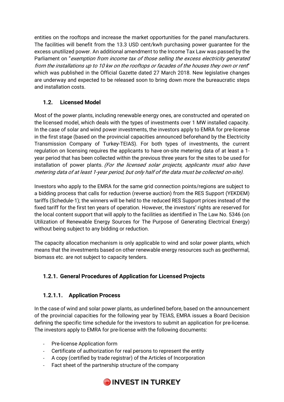entities on the rooftops and increase the market opportunities for the panel manufacturers. The facilities will benefit from the 13.3 USD cent/kwh purchasing power guarantee for the excess unutilized power. An additional amendment to the Income Tax Law was passed by the Parliament on "exemption from income tax of those selling the excess electricity generated from the installations up to 10 kw on the rooftops or facades of the houses they own or rent" which was published in the Official Gazette dated 27 March 2018. New legislative changes are underway and expected to be released soon to bring down more the bureaucratic steps and installation costs.

# **1.2. Licensed Model**

Most of the power plants, including renewable energy ones, are constructed and operated on the licensed model, which deals with the types of investments over 1 MW installed capacity. In the case of solar and wind power investments, the investors apply to EMRA for pre-license in the first stage (based on the provincial capacities announced beforehand by the Electricity Transmission Company of Turkey-TEIAS). For both types of investments, the current regulation on licensing requires the applicants to have on-site metering data of at least a 1 year period that has been collected within the previous three years for the sites to be used for installation of power plants. (For the licensed solar projects, applicants must also have metering data of at least 1-year period, but only half of the data must be collected on-site).

Investors who apply to the EMRA for the same grid connection points/regions are subject to a bidding process that calls for reduction (reverse auction) from the RES Support (YEKDEM) tariffs (Schedule-1); the winners will be held to the reduced RES Support prices instead of the fixed tariff for the first ten years of operation. However, the investors' rights are reserved for the local content support that will apply to the facilities as identified in The Law No. 5346 (on Utilization of Renewable Energy Sources for The Purpose of Generating Electrical Energy) without being subject to any bidding or reduction.

The capacity allocation mechanism is only applicable to wind and solar power plants, which means that the investments based on other renewable energy resources such as geothermal, biomass etc. are not subject to capacity tenders.

# **1.2.1. General Procedures of Application for Licensed Projects**

# **1.2.1.1. Application Process**

In the case of wind and solar power plants, as underlined before, based on the announcement of the provincial capacities for the following year by TEIAS, EMRA issues a Board Decision defining the specific time schedule for the investors to submit an application for pre-license. The investors apply to EMRA for pre-license with the following documents:

- Pre-license Application form
- Certificate of authorization for real persons to represent the entity
- A copy (certified by trade registrar) of the Articles of Incorporation
- Fact sheet of the partnership structure of the company

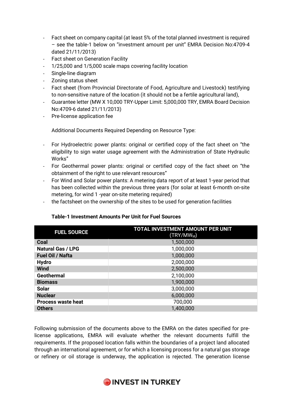- Fact sheet on company capital (at least 5% of the total planned investment is required – see the table-1 below on "investment amount per unit" EMRA Decision No:4709-4 dated 21/11/2013)
- Fact sheet on Generation Facility
- 1/25,000 and 1/5,000 scale maps covering facility location
- Single-line diagram
- Zoning status sheet
- Fact sheet (from Provincial Directorate of Food, Agriculture and Livestock) testifying to non-sensitive nature of the location (it should not be a fertile agricultural land),
- Guarantee letter (MW X 10,000 TRY-Upper Limit: 5,000,000 TRY, EMRA Board Decision No:4709-6 dated 21/11/2013)
- Pre-license application fee

Additional Documents Required Depending on Resource Type:

- For Hydroelectric power plants: original or certified copy of the fact sheet on "the eligibility to sign water usage agreement with the Administration of State Hydraulic Works"
- For Geothermal power plants: original or certified copy of the fact sheet on "the obtainment of the right to use relevant resources"
- For Wind and Solar power plants: A metering data report of at least 1-year period that has been collected within the previous three years (for solar at least 6-month on-site metering, for wind 1 -year on-site metering required)
- the factsheet on the ownership of the sites to be used for generation facilities

| <b>FUEL SOURCE</b>        | TOTAL INVESTMENT AMOUNT PER UNIT<br>(TRY/MW <sub>M</sub> ) |
|---------------------------|------------------------------------------------------------|
| Coal                      | 1,500,000                                                  |
| <b>Natural Gas / LPG</b>  | 1,000,000                                                  |
| Fuel Oil / Nafta          | 1,000,000                                                  |
| <b>Hydro</b>              | 2,000,000                                                  |
| <b>Wind</b>               | 2,500,000                                                  |
| <b>Geothermal</b>         | 2,100,000                                                  |
| <b>Biomass</b>            | 1,900,000                                                  |
| <b>Solar</b>              | 3,000,000                                                  |
| <b>Nuclear</b>            | 6,000,000                                                  |
| <b>Process waste heat</b> | 700,000                                                    |
| <b>Others</b>             | 1,400,000                                                  |

#### **Table-1 Investment Amounts Per Unit for Fuel Sources**

Following submission of the documents above to the EMRA on the dates specified for prelicense applications, EMRA will evaluate whether the relevant documents fulfill the requirements. If the proposed location falls within the boundaries of a project land allocated through an international agreement, or for which a licensing process for a natural gas storage or refinery or oil storage is underway, the application is rejected. The generation license

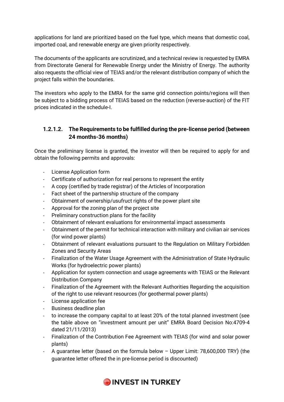applications for land are prioritized based on the fuel type, which means that domestic coal, imported coal, and renewable energy are given priority respectively.

The documents of the applicants are scrutinized, and a technical review is requested by EMRA from Directorate General for Renewable Energy under the Ministry of Energy. The authority also requests the official view of TEIAS and/or the relevant distribution company of which the project falls within the boundaries.

The investors who apply to the EMRA for the same grid connection points/regions will then be subject to a bidding process of TEIAS based on the reduction (reverse-auction) of the FIT prices indicated in the schedule-I.

# **1.2.1.2. The Requirements to be fulfilled during the pre-license period (between 24 months-36 months)**

Once the preliminary license is granted, the investor will then be required to apply for and obtain the following permits and approvals:

- License Application form
- Certificate of authorization for real persons to represent the entity
- A copy (certified by trade registrar) of the Articles of Incorporation
- Fact sheet of the partnership structure of the company
- Obtainment of ownership/usufruct rights of the power plant site
- Approval for the zoning plan of the project site
- Preliminary construction plans for the facility
- Obtainment of relevant evaluations for environmental impact assessments
- Obtainment of the permit for technical interaction with military and civilian air services (for wind power plants)
- Obtainment of relevant evaluations pursuant to the Regulation on Military Forbidden Zones and Security Areas
- Finalization of the Water Usage Agreement with the Administration of State Hydraulic Works (for hydroelectric power plants)
- Application for system connection and usage agreements with TEIAS or the Relevant Distribution Company
- Finalization of the Agreement with the Relevant Authorities Regarding the acquisition of the right to use relevant resources (for geothermal power plants)
- License application fee
- Business deadline plan
- to increase the company capital to at least 20% of the total planned investment (see the table above on "investment amount per unit" EMRA Board Decision No:4709-4 dated 21/11/2013)
- Finalization of the Contribution Fee Agreement with TEIAS (for wind and solar power plants)
- A guarantee letter (based on the formula below Upper Limit: 78,600,000 TRY) (the guarantee letter offered the in pre-license period is discounted)

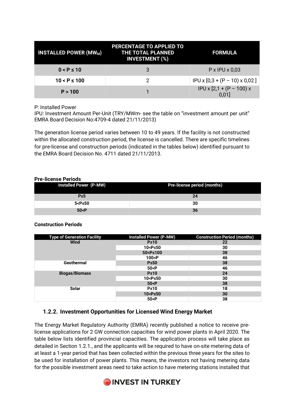| <b>INSTALLED POWER (MW<sub>M</sub>)</b> | PERCENTAGE TO APPLIED TO<br><b>THE TOTAL PLANNED</b><br><b>INVESTMENT (%)</b> | <b>FORMULA</b>                            |
|-----------------------------------------|-------------------------------------------------------------------------------|-------------------------------------------|
| $0 < P \le 10$                          | 3                                                                             | $P$ x IPU x 0,03                          |
| $10 < P \le 100$                        | 2                                                                             | $IPU \times [0,3 + (P - 10) \times 0,02]$ |
| P > 100                                 |                                                                               | $IPU \times [2,1 + (P - 100) \times$      |

P: Installed Power

IPU: Investment Amount Per-Unit (TRY/MWm- see the table on "investment amount per unit" EMRA Board Decision No:4709-4 dated 21/11/2013)

The generation license period varies between 10 to 49 years. If the facility is not constructed within the allocated construction period, the license is cancelled. There are specific timelines for pre-license and construction periods (indicated in the tables below) identified pursuant to the EMRA Board Decision No. 4711 dated 21/11/2013.

#### **Pre-license Periods**

| Installed Power (P-MW)             | Pre-license period (months) |
|------------------------------------|-----------------------------|
| $P \leq 5$                         | 24                          |
| 5 <p≤50< th=""><th>30</th></p≤50<> | 30                          |
| 50 < P                             | 36                          |

#### **Construction Periods**

| <b>Type of Generation Facility</b> | <b>Installed Power (P-MW)</b>         | <b>Construction Period (months)</b> |
|------------------------------------|---------------------------------------|-------------------------------------|
| <b>Wind</b>                        | $P \leq 10$                           | 22                                  |
|                                    | 10 <p≤50< td=""><td>30</td></p≤50<>   | 30                                  |
|                                    | 50 <p≤100< td=""><td>38</td></p≤100<> | 38                                  |
|                                    | 100 <p< td=""><td>46</td></p<>        | 46                                  |
| <b>Geothermal</b>                  | $P \le 50$                            | 38                                  |
|                                    | 50< P                                 | 46                                  |
| <b>Biogas/Biomass</b>              | $P \le 10$                            | 24                                  |
|                                    | 10 <p≤50< td=""><td>30</td></p≤50<>   | 30                                  |
|                                    | 50 < P                                | 38                                  |
| Solar                              | $P \le 10$                            | 18                                  |
|                                    | 10 <p≤50< td=""><td>30</td></p≤50<>   | 30                                  |
|                                    | 50 < P                                | 38                                  |

# **1.2.2. Investment Opportunities for Licensed Wind Energy Market**

The Energy Market Regulatory Authority (EMRA) recently published a notice to receive prelicense applications for 2 GW connection capacities for wind power plants in April 2020. The table below lists identified provincial capacities. The application process will take place as detailed in Section 1.2.1., and the applicants will be required to have on-site metering data of at least a 1-year period that has been collected within the previous three years for the sites to be used for installation of power plants. This means, the investors not having metering data for the possible investment areas need to take action to have metering stations installed that

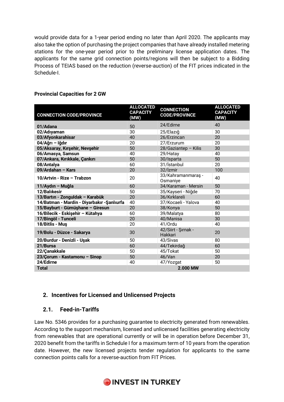would provide data for a 1-year period ending no later than April 2020. The applicants may also take the option of purchasing the project companies that have already installed metering stations for the one-year period prior to the preliminary license application dates. The applicants for the same grid connection points/regions will then be subject to a Bidding Process of TEIAS based on the reduction (reverse-auction) of the FIT prices indicated in the Schedule-I.

| <b>CONNECTION CODE/PROVINCE</b>            | <b>ALLOCATED</b><br><b>CAPACITY</b><br>(MW) | <b>CONNECTION</b><br><b>CODE/PROVINCE</b> | <b>ALLOCATED</b><br><b>CAPACITY</b><br>(MW) |
|--------------------------------------------|---------------------------------------------|-------------------------------------------|---------------------------------------------|
| 01/Adana                                   | 50                                          | 24/Edirne                                 | 40                                          |
| 02/Adıyaman                                | 30                                          | 25/Elazığ                                 | 30                                          |
| 03/Afyonkarahisar                          | 40                                          | 26/Erzincan                               | 20                                          |
| 04/Ağrı - Iğdır                            | 20                                          | 27/Erzurum                                | 20                                          |
| 05/Aksaray, Kırşehir, Nevşehir             | 50                                          | 28/Gaziantep - Kilis                      | 30                                          |
| 06/Amasya, Samsun                          | 40                                          | 29/Hatay                                  | 40                                          |
| 07/Ankara, Kırıkkale, Çankırı              | 50                                          | 30/Isparta                                | 50                                          |
| 08/Antalya                                 | 60                                          | 31/İstanbul                               | 20                                          |
| 09/Ardahan - Kars                          | 20                                          | 32/Izmir                                  | 100                                         |
| 10/Artvin - Rize - Trabzon                 | 20                                          | 33/Kahramanmaraş -<br>Osmaniye            | 40                                          |
| 11/Aydın - Muğla                           | 60                                          | 34/Karaman - Mersin                       | 50                                          |
| 12/Balıkesir                               | 50                                          | 35/Kayseri - Niğde                        | 70                                          |
| 13/Bartın - Zonguldak - Karabük            | 20                                          | 36/Kırklareli                             | 60                                          |
| 14/Batman - Mardin - Diyarbakır -Şanlıurfa | 40                                          | 37/Kocaeli - Yalova                       | 40                                          |
| 15/Bayburt - Gümüşhane - Giresun           | 20                                          | 38/Konya                                  | 50                                          |
| 16/Bilecik - Eskişehir - Kütahya           | 60                                          | 39/Malatya                                | 80                                          |
| 17/Bingöl - Tunceli                        | 20                                          | 40/Manisa                                 | 30                                          |
| 18/Bitlis - Muş                            | 20                                          | 41/Ordu                                   | 40                                          |
| 19/Bolu - Düzce - Sakarya                  | 30                                          | 42/Siirt - Şırnak -<br>Hakkari            | 20                                          |
| 20/Burdur - Denizli - Uşak                 | 50                                          | 43/Sivas                                  | 80                                          |
| 21/Bursa                                   | 60                                          | 44/Tekirdağ                               | 60                                          |
| 22/Çanakkale                               | 50                                          | 45/Tokat                                  | 50                                          |
| 23/Çorum - Kastamonu - Sinop               | 50                                          | 46/Van                                    | 20                                          |
| 24/Edirne                                  | 40                                          | 47/Yozgat                                 | 50                                          |
| <b>Total</b>                               |                                             | 2.000 MW                                  |                                             |

#### **Provincial Capacities for 2 GW**

# **2. Incentives for Licensed and Unlicensed Projects**

# **2.1. Feed-in-Tariffs**

Law No. 5346 provides for a purchasing guarantee to electricity generated from renewables. According to the support mechanism, licensed and unlicensed facilities generating electricity from renewables that are operational currently or will be in operation before December 31, 2020 benefit from the tariffs in Schedule I for a maximum term of 10 years from the operation date. However, the new licensed projects tender regulation for applicants to the same connection points calls for a reverse-auction from FIT Prices.

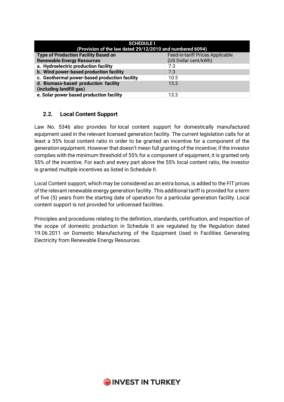| <b>SCHEDULE I</b><br>(Provision of the law dated 29/12/2010 and numbered 6094) |                                  |  |  |  |
|--------------------------------------------------------------------------------|----------------------------------|--|--|--|
| <b>Type of Production Facility Based on</b>                                    | Feed-in-tariff Prices Applicable |  |  |  |
| <b>Renewable Energy Resources</b>                                              | (US Dollar cent/kWh)             |  |  |  |
| a. Hydroelectric production facility                                           | 7.3                              |  |  |  |
| b. Wind power-based production facility                                        | 7.3                              |  |  |  |
| c. Geothermal power-based production facility                                  | 10.5                             |  |  |  |
| d. Biomass-based production facility<br>(including landfill gas)               | 13.3                             |  |  |  |
| e. Solar power based production facility                                       | 13.3                             |  |  |  |

# **2.2. Local Content Support**

Law No. 5346 also provides for local content support for domestically manufactured equipment used in the relevant licensed generation facility. The current legislation calls for at least a 55% local content ratio in order to be granted an incentive for a component of the generation equipment. However that doesn't mean full granting of the incentive; if the investor complies with the minimum threshold of 55% for a component of equipment, it is granted only 55% of the incentive. For each and every part above the 55% local content ratio, the investor is granted multiple incentives as listed in Schedule II.

Local Content support, which may be considered as an extra bonus, is added to the FIT prices of the relevant renewable energy generation facility. This additional tariff is provided for a term of five (5) years from the starting date of operation for a particular generation facility. Local content support is not provided for unlicensed facilities.

Principles and procedures relating to the definition, standards, certification, and inspection of the scope of domestic production in Schedule II are regulated by the Regulation dated 19.06.2011 on Domestic Manufacturing of the Equipment Used in Facilities Generating Electricity from Renewable Energy Resources.

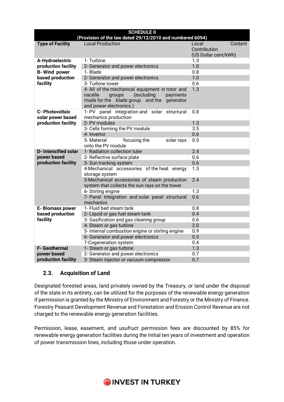| <b>SCHEDULE II</b>                                        |                                                               |                      |  |  |  |  |
|-----------------------------------------------------------|---------------------------------------------------------------|----------------------|--|--|--|--|
| (Provision of the law dated 29/12/2010 and numbered 6094) |                                                               |                      |  |  |  |  |
| <b>Type of Facility</b>                                   | <b>Local Production</b>                                       |                      |  |  |  |  |
|                                                           | Contribution                                                  |                      |  |  |  |  |
|                                                           |                                                               | (US Dollar cent/kWh) |  |  |  |  |
| A-Hydroelectric                                           | 1- Turbine                                                    | 1.3                  |  |  |  |  |
| production facility                                       | 2- Generator and power electronics                            | 1.0                  |  |  |  |  |
| <b>B-Wind power</b>                                       | 1- Blade                                                      | 0.8                  |  |  |  |  |
| based production                                          | 2- Generator and power electronics                            | 1.0                  |  |  |  |  |
| facility                                                  | 3- Turbine tower                                              | 0.6                  |  |  |  |  |
|                                                           | 4- All of the mechanical equipment in rotor and               | 1.3                  |  |  |  |  |
|                                                           | (excluding<br>nacelle<br>groups<br>payments                   |                      |  |  |  |  |
|                                                           | made for the blade group and the<br>generator                 |                      |  |  |  |  |
|                                                           | and power electronics.)                                       |                      |  |  |  |  |
| <b>C- Photovoltaic</b>                                    | 1-PV panel integration and solar structural                   | 0.8                  |  |  |  |  |
| solar power based                                         | mechanics production                                          |                      |  |  |  |  |
| production facility                                       | 2- PV modules                                                 | 1.3                  |  |  |  |  |
|                                                           | 3- Cells forming the PV module                                | 3.5                  |  |  |  |  |
|                                                           | 4- Invertor                                                   | 0.6                  |  |  |  |  |
|                                                           | 5-Material<br>focusing the<br>solar rays                      | 0.5                  |  |  |  |  |
|                                                           | onto the PV module                                            |                      |  |  |  |  |
| <b>D-Intensified solar</b>                                | 1- Radiation collection tube                                  | 2.4                  |  |  |  |  |
| power based                                               | 2- Reflective surface plate                                   | 0.6                  |  |  |  |  |
| production facility                                       | 3- Sun tracking system                                        | 0.6                  |  |  |  |  |
|                                                           | 4-Mechanical accessories of the heat energy<br>storage system | 1.3                  |  |  |  |  |
|                                                           | 5-Mechanical accessories of steam production                  | 2.4                  |  |  |  |  |
|                                                           | system that collects the sun rays on the tower                |                      |  |  |  |  |
|                                                           | 6- Stirling engine                                            | 1.3                  |  |  |  |  |
|                                                           | 7- Panel integration and solar panel structural<br>mechanics  | 0.6                  |  |  |  |  |
| <b>E-Biomass power</b>                                    | 1- Fluid bed steam tank                                       | 0.8                  |  |  |  |  |
| based production                                          | 2- Liquid or gas fuel steam tank                              | 0.4                  |  |  |  |  |
| facility                                                  | 3- Gasification and gas cleaning group                        | 0.6                  |  |  |  |  |
|                                                           | 4- Steam or gas turbine                                       | 2.0                  |  |  |  |  |
|                                                           | 5- Internal combustion engine or stirling engine              | 0.9                  |  |  |  |  |
|                                                           | 6- Generator and power electronics                            | 0.5                  |  |  |  |  |
|                                                           | 7-Cogeneration system                                         | 0.4                  |  |  |  |  |
| <b>F- Geothermal</b>                                      | 1- Steam or gas turbine                                       | 1.3                  |  |  |  |  |
| power based                                               | 2- Generator and power electronics                            | 0.7                  |  |  |  |  |
| production facility                                       | 3- Steam injector or vacuum compressor                        | 0.7                  |  |  |  |  |

# **2.3. Acquisition of Land**

Designated forested areas, land privately owned by the Treasury, or land under the disposal of the state in its entirety, can be utilized for the purposes of the renewable energy generation if permission is granted by the Ministry of Environment and Forestry or the Ministry of Finance. Forestry Peasant Development Revenue and Forestation and Erosion Control Revenue are not charged to the renewable energy generation facilities.

Permission, lease, easement, and usufruct permission fees are discounted by 85% for renewable energy generation facilities during the initial ten years of investment and operation of power transmission lines, including those under operation.

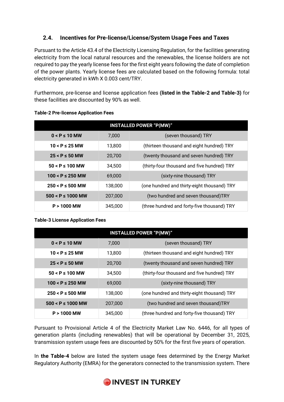# **2.4. Incentives for Pre-license/License/System Usage Fees and Taxes**

Pursuant to the Article 43.4 of the Electricity Licensing Regulation, for the facilities generating electricity from the local natural resources and the renewables, the license holders are not required to pay the yearly license fees for the first eight years following the date of completion of the power plants. Yearly license fees are calculated based on the following formula: total electricity generated in kWh X 0.003 cent/TRY.

Furthermore, pre-license and license application fees **(listed in the Table-2 and Table-3)** for these facilities are discounted by 90% as well.

| <b>INSTALLED POWER "P(MW)"</b> |         |                                             |  |  |
|--------------------------------|---------|---------------------------------------------|--|--|
| $0 < P \le 10$ MW              | 7,000   | (seven thousand) TRY                        |  |  |
| $10 < P \le 25$ MW             | 13,800  | (thirteen thousand and eight hundred) TRY   |  |  |
| $25 < P \le 50$ MW             | 20,700  | (twenty thousand and seven hundred) TRY     |  |  |
| $50 < P \le 100$ MW            | 34,500  | (thirty-four thousand and five hundred) TRY |  |  |
| $100 < P \le 250$ MW           | 69,000  | (sixty-nine thousand) TRY                   |  |  |
| $250 < P \le 500$ MW           | 138,000 | (one hundred and thirty-eight thousand) TRY |  |  |
| $500 < P \le 1000$ MW          | 207,000 | (two hundred and seven thousand)TRY         |  |  |
| $P > 1000$ MW                  | 345,000 | (three hundred and forty-five thousand) TRY |  |  |

#### **Table-2 Pre-license Application Fees**

#### **Table-3 License Application Fees**

| <b>INSTALLED POWER "P(MW)"</b> |         |                                             |  |
|--------------------------------|---------|---------------------------------------------|--|
| $0 < P \le 10$ MW              | 7.000   | (seven thousand) TRY                        |  |
| $10 < P \le 25$ MW             | 13,800  | (thirteen thousand and eight hundred) TRY   |  |
| $25 < P \le 50$ MW             | 20,700  | (twenty thousand and seven hundred) TRY     |  |
| $50 < P \le 100$ MW            | 34,500  | (thirty-four thousand and five hundred) TRY |  |
| $100 < P \le 250$ MW           | 69,000  | (sixty-nine thousand) TRY                   |  |
| $250 < P \le 500$ MW           | 138,000 | (one hundred and thirty-eight thousand) TRY |  |
| $500 < P \le 1000$ MW          | 207,000 | (two hundred and seven thousand)TRY         |  |
| $P > 1000$ MW                  | 345,000 | (three hundred and forty-five thousand) TRY |  |

Pursuant to Provisional Article 4 of the Electricity Market Law No. 6446, for all types of generation plants (including renewables) that will be operational by December 31, 2025, transmission system usage fees are discounted by 50% for the first five years of operation.

In **the Table-4** below are listed the system usage fees determined by the Energy Market Regulatory Authority (EMRA) for the generators connected to the transmission system. There

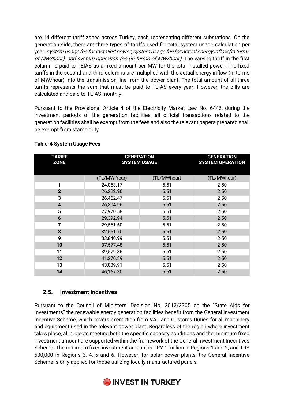are 14 different tariff zones across Turkey, each representing different substations. On the generation side, there are three types of tariffs used for total system usage calculation per year: system usage fee for installed power, system usage fee for actual energy inflow (in terms of MW/hour), and system operation fee (in terms of MW/hour). The varying tariff in the first column is paid to TEIAS as a fixed amount per MW for the total installed power. The fixed tariffs in the second and third columns are multiplied with the actual energy inflow (in terms of MW/hour) into the transmission line from the power plant. The total amount of all three tariffs represents the sum that must be paid to TEIAS every year. However, the bills are calculated and paid to TEIAS monthly.

Pursuant to the Provisional Article 4 of the Electricity Market Law No. 6446, during the investment periods of the generation facilities, all official transactions related to the generation facilities shall be exempt from the fees and also the relevant papers prepared shall be exempt from stamp duty.

| <b>TARIFF</b><br><b>ZONE</b> | <b>GENERATION</b><br><b>SYSTEM USAGE</b> |             | <b>GENERATION</b><br><b>SYSTEM OPERATION</b> |
|------------------------------|------------------------------------------|-------------|----------------------------------------------|
|                              | (TL/MW-Year)                             | (TL/MWhour) | (TL/MWhour)                                  |
| 1                            | 24,053.17                                | 5.51        | 2.50                                         |
| $\mathbf{2}$                 | 26,222.96                                | 5.51        | 2.50                                         |
| 3                            | 26,462.47                                | 5.51        | 2.50                                         |
| $\overline{\mathbf{4}}$      | 26,804.96                                | 5.51        | 2.50                                         |
| 5                            | 27,970.58                                | 5.51        | 2.50                                         |
| 6                            | 29,392.94                                | 5.51        | 2.50                                         |
| 7                            | 29,561.60                                | 5.51        | 2.50                                         |
| 8                            | 32,561.70                                | 5.51        | 2.50                                         |
| 9                            | 33,840.99                                | 5.51        | 2.50                                         |
| 10                           | 37,577.48                                | 5.51        | 2.50                                         |
| 11                           | 39,579.35                                | 5.51        | 2.50                                         |
| 12                           | 41,270.89                                | 5.51        | 2.50                                         |
| 13                           | 43,039.91                                | 5.51        | 2.50                                         |
| 14                           | 46,167.30                                | 5.51        | 2.50                                         |

#### **Table-4 System Usage Fees**

#### **2.5. Investment Incentives**

Pursuant to the Council of Ministers' Decision No. 2012/3305 on the "State Aids for Investments" the renewable energy generation facilities benefit from the General Investment Incentive Scheme, which covers exemption from VAT and Customs Duties for all machinery and equipment used in the relevant power plant. Regardless of the region where investment takes place, all projects meeting both the specific capacity conditions and the minimum fixed investment amount are supported within the framework of the General Investment Incentives Scheme. The minimum fixed investment amount is TRY 1 million in Regions 1 and 2, and TRY 500,000 in Regions 3, 4, 5 and 6. However, for solar power plants, the General Incentive Scheme is only applied for those utilizing locally manufactured panels.

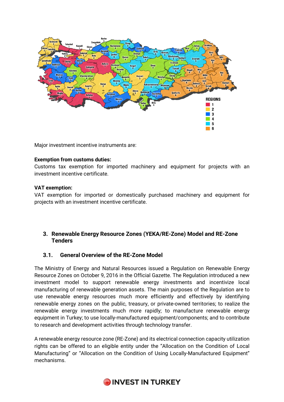

Major investment incentive instruments are:

#### **Exemption from customs duties:**

Customs tax exemption for imported machinery and equipment for projects with an investment incentive certificate.

#### **VAT exemption:**

VAT exemption for imported or domestically purchased machinery and equipment for projects with an investment incentive certificate.

#### **3. Renewable Energy Resource Zones (YEKA/RE-Zone) Model and RE-Zone Tenders**

#### **3.1. General Overview of the RE-Zone Model**

The Ministry of Energy and Natural Resources issued a Regulation on Renewable Energy Resource Zones on October 9, 2016 in the Official Gazette. The Regulation introduced a new investment model to support renewable energy investments and incentivize local manufacturing of renewable generation assets. The main purposes of the Regulation are to use renewable energy resources much more efficiently and effectively by identifying renewable energy zones on the public, treasury, or private-owned territories; to realize the renewable energy investments much more rapidly; to manufacture renewable energy equipment in Turkey; to use locally-manufactured equipment/components; and to contribute to research and development activities through technology transfer.

A renewable energy resource zone (RE-Zone) and its electrical connection capacity utilization rights can be offered to an eligible entity under the "Allocation on the Condition of Local Manufacturing" or "Allocation on the Condition of Using Locally-Manufactured Equipment" mechanisms.

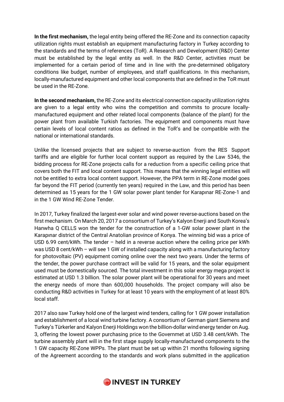**In the first mechanism,** the legal entity being offered the RE-Zone and its connection capacity utilization rights must establish an equipment manufacturing factory in Turkey according to the standards and the terms of references (ToR). A Research and Development (R&D) Center must be established by the legal entity as well. In the R&D Center, activities must be implemented for a certain period of time and in line with the pre-determined obligatory conditions like budget, number of employees, and staff qualifications. In this mechanism, locally-manufactured equipment and other local components that are defined in the ToR must be used in the RE-Zone.

**In the second mechanism,** the RE-Zone and its electrical connection capacity utilization rights are given to a legal entity who wins the competition and commits to procure locallymanufactured equipment and other related local components (balance of the plant) for the power plant from available Turkish factories. The equipment and components must have certain levels of local content ratios as defined in the ToR's and be compatible with the national or international standards.

Unlike the licensed projects that are subject to reverse-auction from the RES Support tariffs and are eligible for further local content support as required by the Law 5346, the bidding process for RE-Zone projects calls for a reduction from a specific ceiling price that covers both the FIT and local content support. This means that the winning legal entities will not be entitled to extra local content support. However, the PPA term in RE-Zone model goes far beyond the FIT period (currently ten years) required in the Law, and this period has been determined as 15 years for the 1 GW solar power plant tender for Karapınar RE-Zone-1 and in the 1 GW Wind RE-Zone Tender.

In 2017, Turkey finalized the largest-ever solar and wind power reverse-auctions based on the first mechanism. On March 20, 2017 a consortium of Turkey's Kalyon Enerji and South Korea's Hanwha Q CELLS won the tender for the construction of a 1-GW solar power plant in the Karapınar district of the Central Anatolian province of Konya. The winning bid was a price of USD 6.99 cent/kWh. The tender – held in a reverse auction where the ceiling price per kWh was USD 8 cent/kWh – will see 1 GW of installed capacity along with a manufacturing factory for photovoltaic (PV) equipment coming online over the next two years. Under the terms of the tender, the power purchase contract will be valid for 15 years, and the solar equipment used must be domestically sourced. The total investment in this solar energy mega project is estimated at USD 1.3 billion. The solar power plant will be operational for 30 years and meet the energy needs of more than 600,000 households. The project company will also be conducting R&D activities in Turkey for at least 10 years with the employment of at least 80% local staff.

2017 also saw Turkey hold one of the largest wind tenders, calling for 1 GW power installation and establishment of a local wind turbine factory. A consortium of German giant Siemens and Turkey's Türkerler and Kalyon Enerji Holdings won the billion-dollar wind energy tender on Aug. 3, offering the lowest power purchasing price to the Governmet at USD 3.48 cent/kWh. The turbine assembly plant will in the first stage supply locally-manufactured components to the 1 GW capacity RE-Zone WPPs. The plant must be set up within 21 months following signing of the Agreement according to the standards and work plans submitted in the application